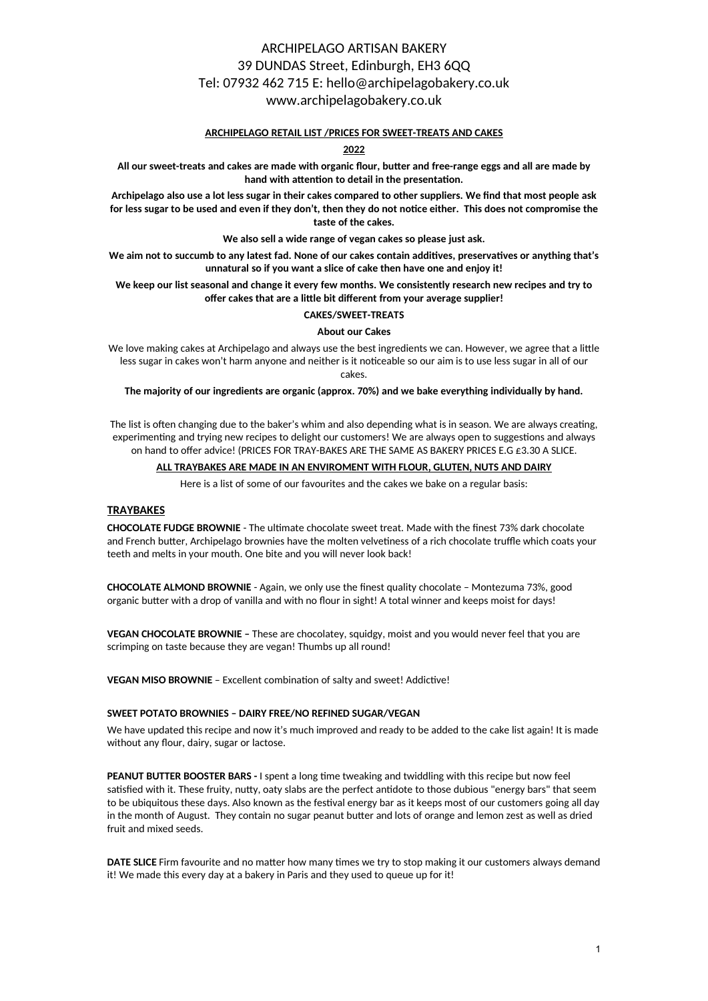## ARCHIPELAGO ARTISAN BAKERY 39 DUNDAS Street, Edinburgh, EH3 6QQ Tel: 07932 462 715 E: hello@archipelagobakery.co.uk www.archipelagobakery.co.uk

#### **ARCHIPELAGO RETAIL LIST /PRICES FOR SWEET-TREATS AND CAKES**

### **2022**

All our sweet-treats and cakes are made with organic flour, butter and free-range eggs and all are made by hand with attention to detail in the presentation.

**Archipelago also use a lot less sugar in their cakes compared to other suppliers. We find that most people ask** for less sugar to be used and even if they don't, then they do not notice either. This does not compromise the **taste of the cakes.** 

**We also sell a wide range of vegan cakes so please just ask.**

We aim not to succumb to any latest fad. None of our cakes contain additives, preservatives or anything that's **unnatural so if you want a slice of cake then have one and enjoy it!**

**We keep our list seasonal and change it every few months. We consistently research new recipes and try to** offer cakes that are a little bit different from your average supplier!

## **CAKES/SWEET-TREATS**

#### **About our Cakes**

We love making cakes at Archipelago and always use the best ingredients we can. However, we agree that a little less sugar in cakes won't harm anyone and neither is it noticeable so our aim is to use less sugar in all of our cakes.

**The majority of our ingredients are organic (approx. 70%) and we bake everything individually by hand.** 

The list is often changing due to the baker's whim and also depending what is in season. We are always creating, experimenting and trying new recipes to delight our customers! We are always open to suggestions and always on hand to offer advice! (PRICES FOR TRAY-BAKES ARE THE SAME AS BAKERY PRICES E.G £3.30 A SLICE.

#### **ALL TRAYBAKES ARE MADE IN AN ENVIROMENT WITH FLOUR, GLUTEN, NUTS AND DAIRY**

Here is a list of some of our favourites and the cakes we bake on a regular basis:

#### **TRAYBAKES**

**CHOCOLATE FUDGE BROWNIE** - The ultimate chocolate sweet treat. Made with the finest 73% dark chocolate and French butter, Archipelago brownies have the molten velvetiness of a rich chocolate truffle which coats your teeth and melts in your mouth. One bite and you will never look back!

**CHOCOLATE ALMOND BROWNIE** - Again, we only use the finest quality chocolate – Montezuma 73%, good organic butter with a drop of vanilla and with no flour in sight! A total winner and keeps moist for days!

**VEGAN CHOCOLATE BROWNIE –** These are chocolatey, squidgy, moist and you would never feel that you are scrimping on taste because they are vegan! Thumbs up all round!

**VEGAN MISO BROWNIE** – Excellent combination of salty and sweet! Addictive!

#### **SWEET POTATO BROWNIES – DAIRY FREE/NO REFINED SUGAR/VEGAN**

We have updated this recipe and now it's much improved and ready to be added to the cake list again! It is made without any flour, dairy, sugar or lactose.

**PEANUT BUTTER BOOSTER BARS - I spent a long time tweaking and twiddling with this recipe but now feel** satisfied with it. These fruity, nutty, oaty slabs are the perfect antidote to those dubious "energy bars" that seem to be ubiquitous these days. Also known as the festival energy bar as it keeps most of our customers going all day in the month of August. They contain no sugar peanut butter and lots of orange and lemon zest as well as dried fruit and mixed seeds.

**DATE SLICE** Firm favourite and no matter how many times we try to stop making it our customers always demand it! We made this every day at a bakery in Paris and they used to queue up for it!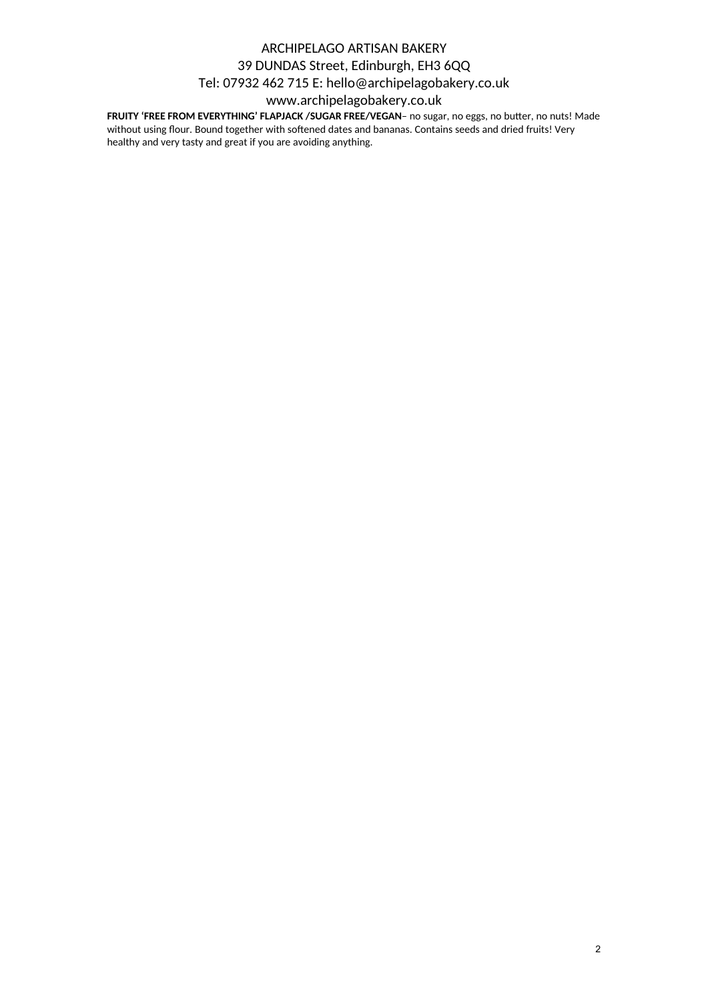# ARCHIPELAGO ARTISAN BAKERY 39 DUNDAS Street, Edinburgh, EH3 6QQ Tel: 07932 462 715 E: hello@archipelagobakery.co.uk

## www.archipelagobakery.co.uk

**FRUITY 'FREE FROM EVERYTHING' FLAPJACK / SUGAR FREE/VEGAN- no sugar, no eggs, no butter, no nuts! Made** without using flour. Bound together with softened dates and bananas. Contains seeds and dried fruits! Very healthy and very tasty and great if you are avoiding anything.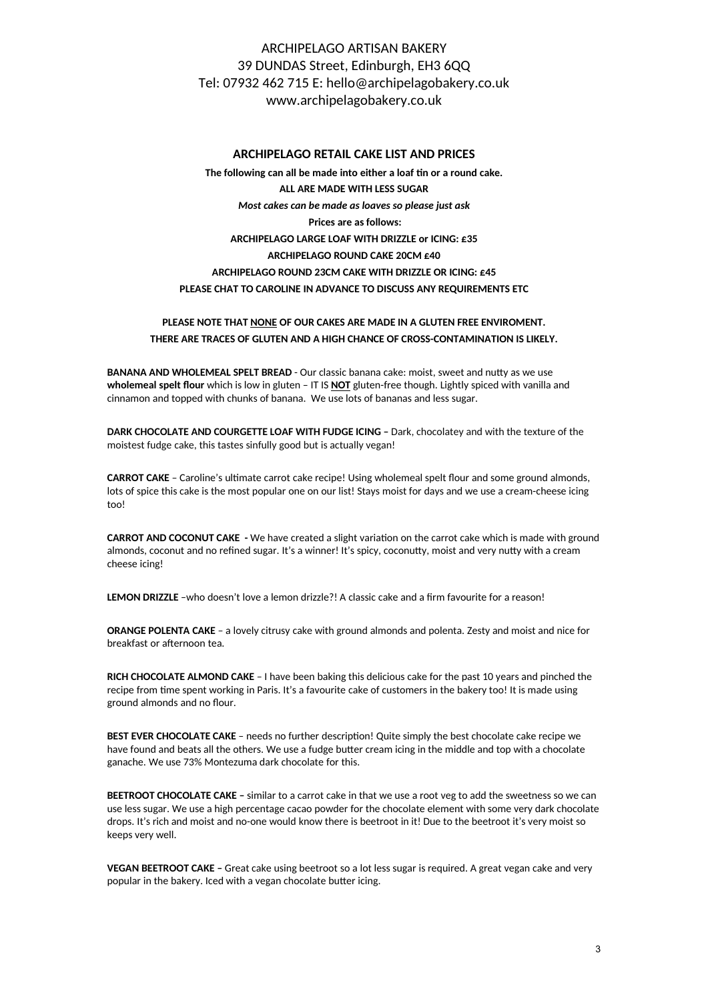# ARCHIPELAGO ARTISAN BAKERY 39 DUNDAS Street, Edinburgh, EH3 6QQ Tel: 07932 462 715 E: hello@archipelagobakery.co.uk www.archipelagobakery.co.uk

### **ARCHIPELAGO RETAIL CAKE LIST AND PRICES**

The following can all be made into either a loaf tin or a round cake. **ALL ARE MADE WITH LESS SUGAR**  *Most cakes can be made as loaves so please just ask* **Prices are as follows: ARCHIPELAGO LARGE LOAF WITH DRIZZLE or ICING: £35 ARCHIPELAGO ROUND CAKE 20CM £40 ARCHIPELAGO ROUND 23CM CAKE WITH DRIZZLE OR ICING: £45 PLEASE CHAT TO CAROLINE IN ADVANCE TO DISCUSS ANY REQUIREMENTS ETC** 

## **PLEASE NOTE THAT NONE OF OUR CAKES ARE MADE IN A GLUTEN FREE ENVIROMENT. THERE ARE TRACES OF GLUTEN AND A HIGH CHANCE OF CROSS-CONTAMINATION IS LIKELY.**

**BANANA AND WHOLEMEAL SPELT BREAD** - Our classic banana cake: moist, sweet and nutty as we use **wholemeal spelt flour** which is low in gluten – IT IS **NOT** gluten-free though. Lightly spiced with vanilla and cinnamon and topped with chunks of banana. We use lots of bananas and less sugar.

**DARK CHOCOLATE AND COURGETTE LOAF WITH FUDGE ICING –** Dark, chocolatey and with the texture of the moistest fudge cake, this tastes sinfully good but is actually vegan!

**CARROT CAKE** - Caroline's ultimate carrot cake recipe! Using wholemeal spelt flour and some ground almonds, lots of spice this cake is the most popular one on our list! Stays moist for days and we use a cream-cheese icing too!

**CARROT AND COCONUT CAKE** - We have created a slight variation on the carrot cake which is made with ground almonds, coconut and no refined sugar. It's a winner! It's spicy, coconutty, moist and very nutty with a cream cheese icing!

**LEMON DRIZZLE** –who doesn't love a lemon drizzle?! A classic cake and a firm favourite for a reason!

**ORANGE POLENTA CAKE** – a lovely citrusy cake with ground almonds and polenta. Zesty and moist and nice for breakfast or afternoon tea.

**RICH CHOCOLATE ALMOND CAKE** – I have been baking this delicious cake for the past 10 years and pinched the recipe from time spent working in Paris. It's a favourite cake of customers in the bakery too! It is made using ground almonds and no flour.

**BEST EVER CHOCOLATE CAKE** – needs no further description! Quite simply the best chocolate cake recipe we have found and beats all the others. We use a fudge butter cream icing in the middle and top with a chocolate ganache. We use 73% Montezuma dark chocolate for this.

**BEETROOT CHOCOLATE CAKE –** similar to a carrot cake in that we use a root veg to add the sweetness so we can use less sugar. We use a high percentage cacao powder for the chocolate element with some very dark chocolate drops. It's rich and moist and no-one would know there is beetroot in it! Due to the beetroot it's very moist so keeps very well.

**VEGAN BEETROOT CAKE –** Great cake using beetroot so a lot less sugar is required. A great vegan cake and very popular in the bakery. Iced with a vegan chocolate butter icing.